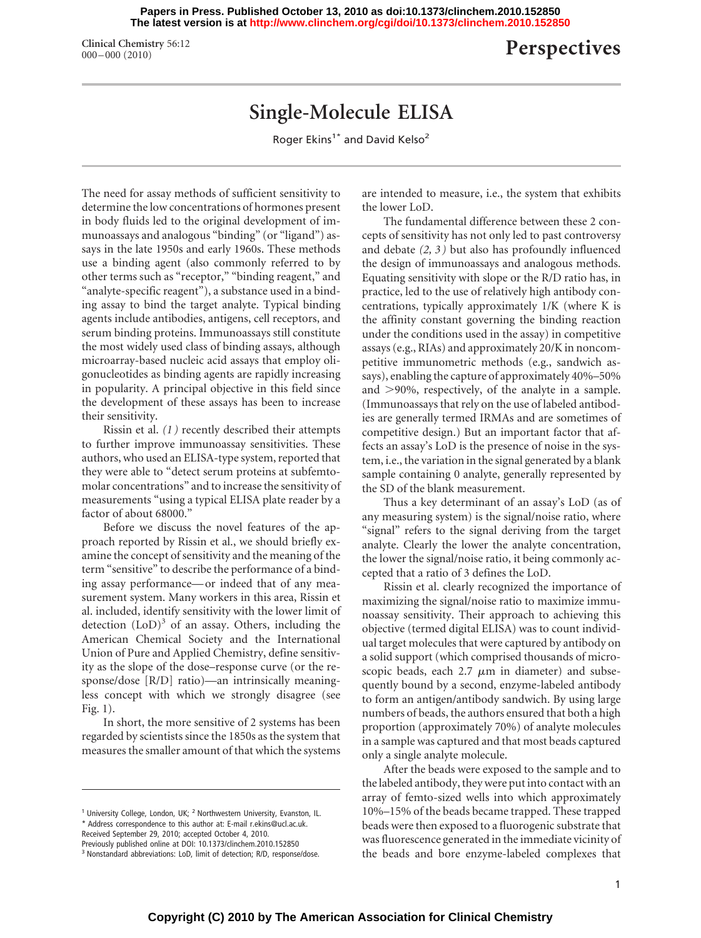**The latest version is at<http://www.clinchem.org/cgi/doi/10.1373/clinchem.2010.152850> Papers in Press. Published October 13, 2010 as doi:10.1373/clinchem.2010.152850**

**Clinical Chemistry** 56:12

## **Perspectives**

## **Single-Molecule ELISA**

Roger Ekins<sup>1\*</sup> and David Kelso<sup>2</sup>

The need for assay methods of sufficient sensitivity to determine the low concentrations of hormones present in body fluids led to the original development of immunoassays and analogous "binding" (or "ligand") assays in the late 1950s and early 1960s. These methods use a binding agent (also commonly referred to by other terms such as "receptor," "binding reagent," and "analyte-specific reagent"), a substance used in a binding assay to bind the target analyte. Typical binding agents include antibodies, antigens, cell receptors, and serum binding proteins. Immunoassays still constitute the most widely used class of binding assays, although microarray-based nucleic acid assays that employ oligonucleotides as binding agents are rapidly increasing in popularity. A principal objective in this field since the development of these assays has been to increase their sensitivity.

Rissin et al. *(1 )* recently described their attempts to further improve immunoassay sensitivities. These authors, who used an ELISA-type system, reported that they were able to "detect serum proteins at subfemtomolar concentrations" and to increase the sensitivity of measurements "using a typical ELISA plate reader by a factor of about 68000."

Before we discuss the novel features of the approach reported by Rissin et al., we should briefly examine the concept of sensitivity and the meaning of the term "sensitive" to describe the performance of a binding assay performance— or indeed that of any measurement system. Many workers in this area, Rissin et al. included, identify sensitivity with the lower limit of detection  $(LoD)^3$  of an assay. Others, including the American Chemical Society and the International Union of Pure and Applied Chemistry, define sensitivity as the slope of the dose–response curve (or the response/dose [R/D] ratio)—an intrinsically meaningless concept with which we strongly disagree (see Fig. 1).

In short, the more sensitive of 2 systems has been regarded by scientists since the 1850s as the system that measures the smaller amount of that which the systems

Received September 29, 2010; accepted October 4, 2010.

are intended to measure, i.e., the system that exhibits the lower LoD.

The fundamental difference between these 2 concepts of sensitivity has not only led to past controversy and debate *(2, 3 )* but also has profoundly influenced the design of immunoassays and analogous methods. Equating sensitivity with slope or the R/D ratio has, in practice, led to the use of relatively high antibody concentrations, typically approximately 1/K (where K is the affinity constant governing the binding reaction under the conditions used in the assay) in competitive assays (e.g., RIAs) and approximately 20/K in noncompetitive immunometric methods (e.g., sandwich assays), enabling the capture of approximately 40%–50% and >90%, respectively, of the analyte in a sample. (Immunoassays that rely on the use of labeled antibodies are generally termed IRMAs and are sometimes of competitive design.) But an important factor that affects an assay's LoD is the presence of noise in the system, i.e., the variation in the signal generated by a blank sample containing 0 analyte, generally represented by the SD of the blank measurement.

Thus a key determinant of an assay's LoD (as of any measuring system) is the signal/noise ratio, where "signal" refers to the signal deriving from the target analyte. Clearly the lower the analyte concentration, the lower the signal/noise ratio, it being commonly accepted that a ratio of 3 defines the LoD.

Rissin et al. clearly recognized the importance of maximizing the signal/noise ratio to maximize immunoassay sensitivity. Their approach to achieving this objective (termed digital ELISA) was to count individual target molecules that were captured by antibody on a solid support (which comprised thousands of microscopic beads, each  $2.7 \mu m$  in diameter) and subsequently bound by a second, enzyme-labeled antibody to form an antigen/antibody sandwich. By using large numbers of beads, the authors ensured that both a high proportion (approximately 70%) of analyte molecules in a sample was captured and that most beads captured only a single analyte molecule.

After the beads were exposed to the sample and to the labeled antibody, they were put into contact with an array of femto-sized wells into which approximately 10%–15% of the beads became trapped. These trapped beads were then exposed to a fluorogenic substrate that was fluorescence generated in the immediate vicinity of the beads and bore enzyme-labeled complexes that

<sup>&</sup>lt;sup>1</sup> University College, London, UK; <sup>2</sup> Northwestern University, Evanston, IL. \* Address correspondence to this author at: E-mail r.ekins@ucl.ac.uk.

Previously published online at DOI: 10.1373/clinchem.2010.152850

<sup>&</sup>lt;sup>3</sup> Nonstandard abbreviations: LoD, limit of detection; R/D, response/dose.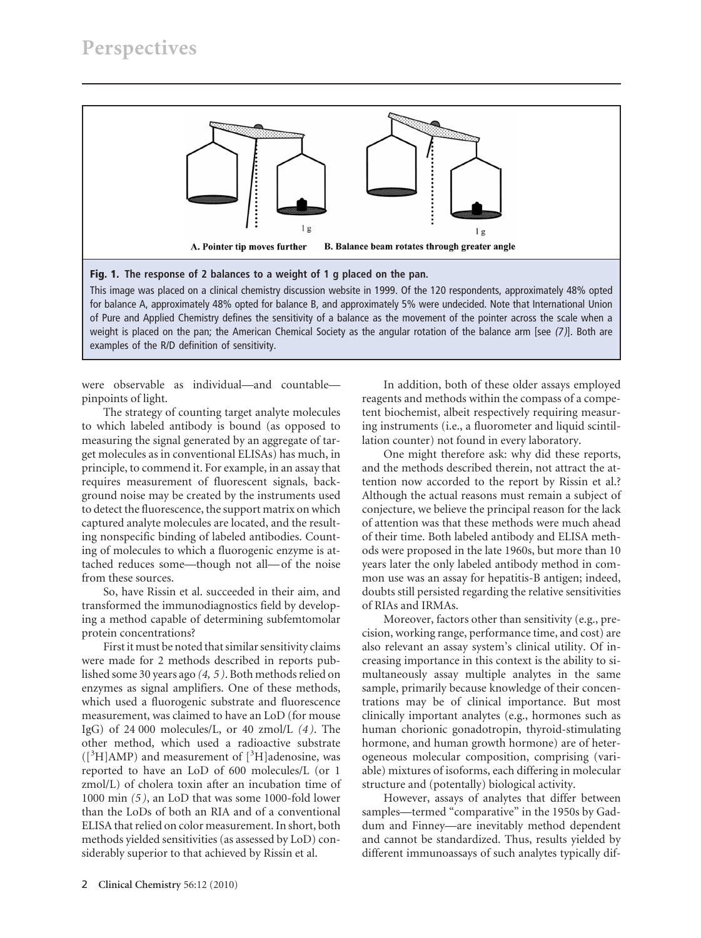

This image was placed on a clinical chemistry discussion website in 1999. Of the 120 respondents, approximately 48% opted for balance A, approximately 48% opted for balance B, and approximately 5% were undecided. Note that International Union of Pure and Applied Chemistry defines the sensitivity of a balance as the movement of the pointer across the scale when a weight is placed on the pan; the American Chemical Society as the angular rotation of the balance arm [see (7)]. Both are examples of the R/D definition of sensitivity.

were observable as individual—and countable pinpoints of light.

The strategy of counting target analyte molecules to which labeled antibody is bound (as opposed to measuring the signal generated by an aggregate of target molecules as in conventional ELISAs) has much, in principle, to commend it. For example, in an assay that requires measurement of fluorescent signals, background noise may be created by the instruments used to detect the fluorescence, the support matrix on which captured analyte molecules are located, and the resulting nonspecific binding of labeled antibodies. Counting of molecules to which a fluorogenic enzyme is attached reduces some—though not all— of the noise from these sources.

So, have Rissin et al. succeeded in their aim, and transformed the immunodiagnostics field by developing a method capable of determining subfemtomolar protein concentrations?

First it must be noted that similar sensitivity claims were made for 2 methods described in reports published some 30 years ago *(4, 5 )*. Both methods relied on enzymes as signal amplifiers. One of these methods, which used a fluorogenic substrate and fluorescence measurement, was claimed to have an LoD (for mouse IgG) of 24 000 molecules/L, or 40 zmol/L *(4 )*. The other method, which used a radioactive substrate  $([{}^{3}H]$ AMP) and measurement of  $[{}^{3}H]$ adenosine, was reported to have an LoD of 600 molecules/L (or 1 zmol/L) of cholera toxin after an incubation time of 1000 min *(5 )*, an LoD that was some 1000-fold lower than the LoDs of both an RIA and of a conventional ELISA that relied on color measurement. In short, both methods yielded sensitivities (as assessed by LoD) considerably superior to that achieved by Rissin et al.

In addition, both of these older assays employed reagents and methods within the compass of a competent biochemist, albeit respectively requiring measuring instruments (i.e., a fluorometer and liquid scintillation counter) not found in every laboratory.

One might therefore ask: why did these reports, and the methods described therein, not attract the attention now accorded to the report by Rissin et al.? Although the actual reasons must remain a subject of conjecture, we believe the principal reason for the lack of attention was that these methods were much ahead of their time. Both labeled antibody and ELISA methods were proposed in the late 1960s, but more than 10 years later the only labeled antibody method in common use was an assay for hepatitis-B antigen; indeed, doubts still persisted regarding the relative sensitivities of RIAs and IRMAs.

Moreover, factors other than sensitivity (e.g., precision, working range, performance time, and cost) are also relevant an assay system's clinical utility. Of increasing importance in this context is the ability to simultaneously assay multiple analytes in the same sample, primarily because knowledge of their concentrations may be of clinical importance. But most clinically important analytes (e.g., hormones such as human chorionic gonadotropin, thyroid-stimulating hormone, and human growth hormone) are of heterogeneous molecular composition, comprising (variable) mixtures of isoforms, each differing in molecular structure and (potentally) biological activity.

However, assays of analytes that differ between samples—termed "comparative" in the 1950s by Gaddum and Finney—are inevitably method dependent and cannot be standardized. Thus, results yielded by different immunoassays of such analytes typically dif